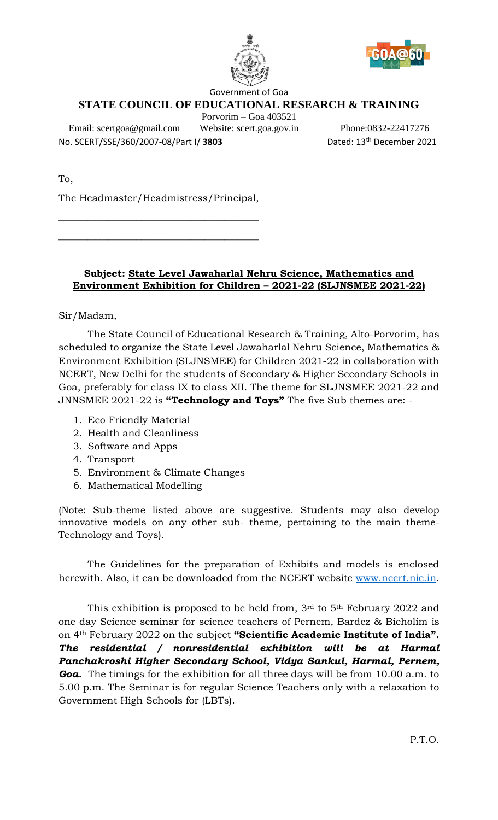



Government of Goa

# **STATE COUNCIL OF EDUCATIONAL RESEARCH & TRAINING**

Porvorim – Goa 403521

Email: scertgoa@gmail.com Website: scert.goa.gov.in Phone:0832-22417276

No. SCERT/SSE/360/2007-08/Part I/ **3803** Dated: 13th December 2021

To,

The Headmaster/Headmistress/Principal,

 $\overline{\phantom{a}}$  , where the contract of the contract of the contract of the contract of the contract of the contract of the contract of the contract of the contract of the contract of the contract of the contract of the contr

 $\overline{\phantom{a}}$  , where the contract of the contract of the contract of the contract of the contract of the contract of the contract of the contract of the contract of the contract of the contract of the contract of the contr

## **Subject: State Level Jawaharlal Nehru Science, Mathematics and Environment Exhibition for Children – 2021-22 (SLJNSMEE 2021-22)**

Sir/Madam,

The State Council of Educational Research & Training, Alto-Porvorim, has scheduled to organize the State Level Jawaharlal Nehru Science, Mathematics & Environment Exhibition (SLJNSMEE) for Children 2021-22 in collaboration with NCERT, New Delhi for the students of Secondary & Higher Secondary Schools in Goa, preferably for class IX to class XII. The theme for SLJNSMEE 2021-22 and JNNSMEE 2021-22 is **"Technology and Toys"** The five Sub themes are: -

- 1. Eco Friendly Material
- 2. Health and Cleanliness
- 3. Software and Apps
- 4. Transport
- 5. Environment & Climate Changes
- 6. Mathematical Modelling

(Note: Sub-theme listed above are suggestive. Students may also develop innovative models on any other sub- theme, pertaining to the main theme-Technology and Toys).

The Guidelines for the preparation of Exhibits and models is enclosed herewith. Also, it can be downloaded from the NCERT website [www.ncert.nic.in.](http://www.ncert.nic.in/)

This exhibition is proposed to be held from, 3rd to 5<sup>th</sup> February 2022 and one day Science seminar for science teachers of Pernem, Bardez & Bicholim is on 4th February 2022 on the subject **"Scientific Academic Institute of India".** *The residential / nonresidential exhibition will be at Harmal Panchakroshi Higher Secondary School, Vidya Sankul, Harmal, Pernem, Goa.* The timings for the exhibition for all three days will be from 10.00 a.m. to 5.00 p.m. The Seminar is for regular Science Teachers only with a relaxation to Government High Schools for (LBTs).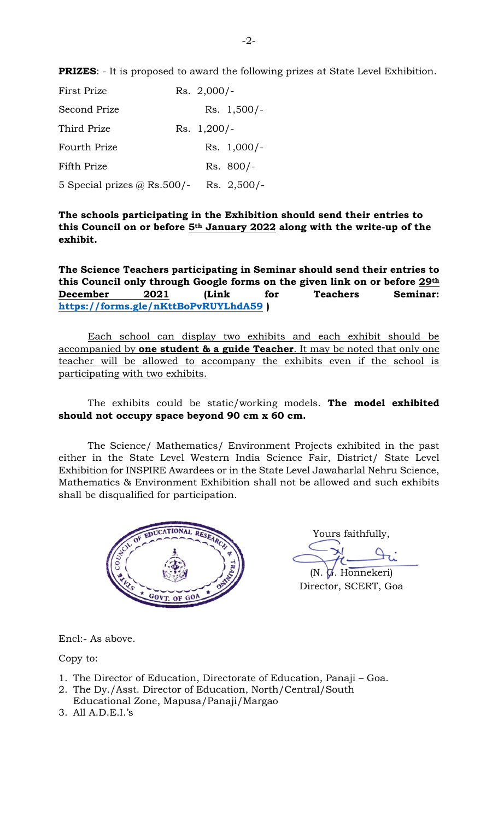**PRIZES**: - It is proposed to award the following prizes at State Level Exhibition.

| <b>First Prize</b>                 |  | $Rs. 2,000/-$ |               |
|------------------------------------|--|---------------|---------------|
| Second Prize                       |  |               | $Rs. 1,500/-$ |
| Third Prize                        |  | Rs. $1,200/-$ |               |
| <b>Fourth Prize</b>                |  |               | $Rs. 1,000/-$ |
| Fifth Prize                        |  |               | $Rs. 800/-$   |
| 5 Special prizes $\omega$ Rs.500/- |  |               | Rs. $2,500/-$ |

**The schools participating in the Exhibition should send their entries to this Council on or before 5th January 2022 along with the write-up of the exhibit.**

**The Science Teachers participating in Seminar should send their entries to this Council only through Google forms on the given link on or before 29th December 2021 (Link for Teachers Seminar: <https://forms.gle/nKttBoPvRUYLhdA59> )**

Each school can display two exhibits and each exhibit should be accompanied by **one student & a guide Teacher**. It may be noted that only one teacher will be allowed to accompany the exhibits even if the school is participating with two exhibits.

## The exhibits could be static/working models. **The model exhibited should not occupy space beyond 90 cm x 60 cm.**

The Science/ Mathematics/ Environment Projects exhibited in the past either in the State Level Western India Science Fair, District/ State Level Exhibition for INSPIRE Awardees or in the State Level Jawaharlal Nehru Science, Mathematics & Environment Exhibition shall not be allowed and such exhibits shall be disqualified for participation.



Yours faithfully,

(N. G. Honnekeri) Director, SCERT, Goa

Encl:- As above.

Copy to:

- 1. The Director of Education, Directorate of Education, Panaji Goa.
- 2. The Dy./Asst. Director of Education, North/Central/South
- Educational Zone, Mapusa/Panaji/Margao
- 3. All A.D.E.I.'s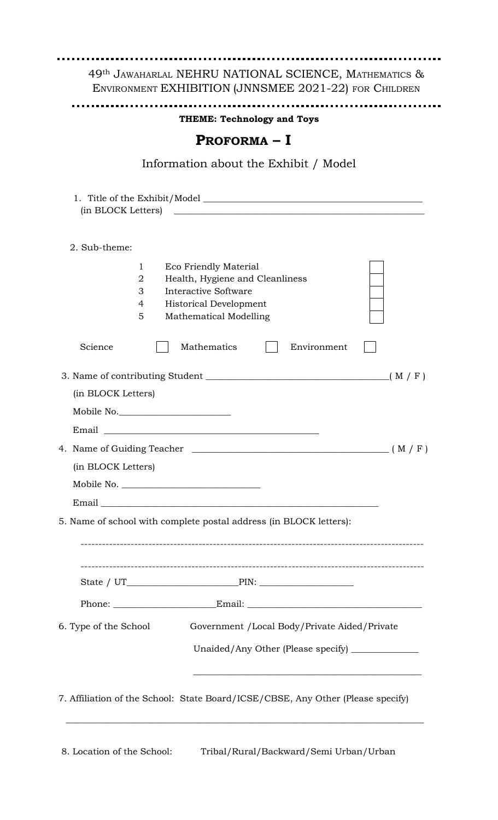|                                          |                       |                                                                                                                                                                  | <b>THEME: Technology and Toys</b>                                                                                        |       |
|------------------------------------------|-----------------------|------------------------------------------------------------------------------------------------------------------------------------------------------------------|--------------------------------------------------------------------------------------------------------------------------|-------|
|                                          |                       | PROFORMA – I                                                                                                                                                     |                                                                                                                          |       |
|                                          |                       |                                                                                                                                                                  | Information about the Exhibit / Model                                                                                    |       |
| (in BLOCK Letters)                       |                       |                                                                                                                                                                  |                                                                                                                          |       |
| 2. Sub-theme:                            |                       |                                                                                                                                                                  |                                                                                                                          |       |
|                                          | 1<br>2<br>3<br>4<br>5 | <b>Eco Friendly Material</b><br>Health, Hygiene and Cleanliness<br><b>Interactive Software</b><br><b>Historical Development</b><br><b>Mathematical Modelling</b> |                                                                                                                          |       |
| Science                                  |                       | Mathematics                                                                                                                                                      | Environment                                                                                                              |       |
| (in BLOCK Letters)<br>(in BLOCK Letters) |                       | Mobile No.                                                                                                                                                       | 4. Name of Guiding Teacher $\qquad \qquad$ (M / F)<br>5. Name of school with complete postal address (in BLOCK letters): | (M/F) |
|                                          |                       |                                                                                                                                                                  |                                                                                                                          |       |
|                                          |                       |                                                                                                                                                                  |                                                                                                                          |       |
| 6. Type of the School                    |                       |                                                                                                                                                                  | Government /Local Body/Private Aided/Private<br>Unaided/Any Other (Please specify) _______________                       |       |

\_\_\_\_\_\_\_\_\_\_\_\_\_\_\_\_\_\_\_\_\_\_\_\_\_\_\_\_\_\_\_\_\_\_\_\_\_\_\_\_\_\_\_\_\_\_\_\_\_\_\_\_\_\_\_\_\_\_\_\_\_\_\_\_\_\_\_\_\_\_\_\_\_\_\_\_\_\_\_\_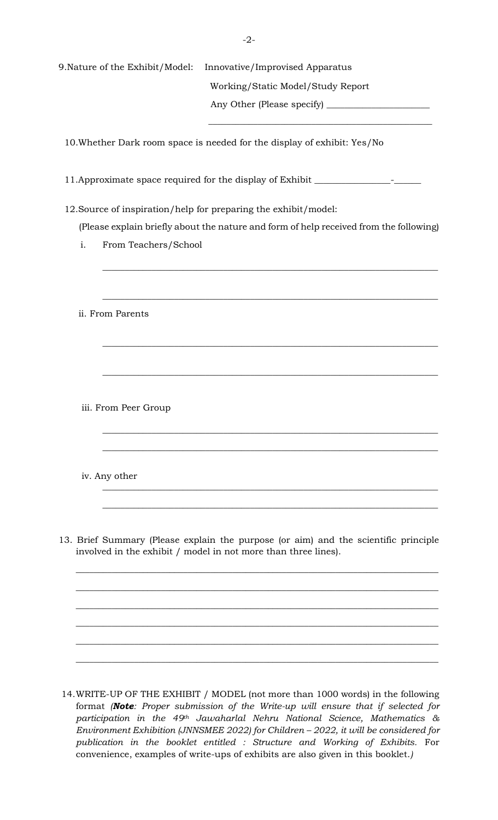|               | 9. Nature of the Exhibit/Model: | Innovative/Improvised Apparatus                                                                                                                       |
|---------------|---------------------------------|-------------------------------------------------------------------------------------------------------------------------------------------------------|
|               |                                 | Working/Static Model/Study Report                                                                                                                     |
|               |                                 |                                                                                                                                                       |
|               |                                 | 10. Whether Dark room space is needed for the display of exhibit: Yes/No                                                                              |
|               |                                 | 11. Approximate space required for the display of Exhibit ______________________                                                                      |
|               |                                 | 12. Source of inspiration/help for preparing the exhibit/model:                                                                                       |
|               |                                 | (Please explain briefly about the nature and form of help received from the following)                                                                |
| i.            | From Teachers/School            |                                                                                                                                                       |
|               |                                 |                                                                                                                                                       |
|               | ii. From Parents                |                                                                                                                                                       |
|               |                                 |                                                                                                                                                       |
|               | iii. From Peer Group            |                                                                                                                                                       |
|               |                                 |                                                                                                                                                       |
| iv. Any other |                                 |                                                                                                                                                       |
|               |                                 | 13. Brief Summary (Please explain the purpose (or aim) and the scientific principle<br>involved in the exhibit / model in not more than three lines). |
|               |                                 |                                                                                                                                                       |
|               |                                 |                                                                                                                                                       |
|               |                                 |                                                                                                                                                       |
|               |                                 |                                                                                                                                                       |

14.WRITE-UP OF THE EXHIBIT / MODEL (not more than 1000 words) in the following format *(Note: Proper submission of the Write-up will ensure that if selected for participation in the 49th Jawaharlal Nehru National Science, Mathematics & Environment Exhibition (JNNSMEE 2022) for Children – 2022, it will be considered for publication in the booklet entitled : Structure and Working of Exhibits.* For convenience, examples of write-ups of exhibits are also given in this booklet.*)*